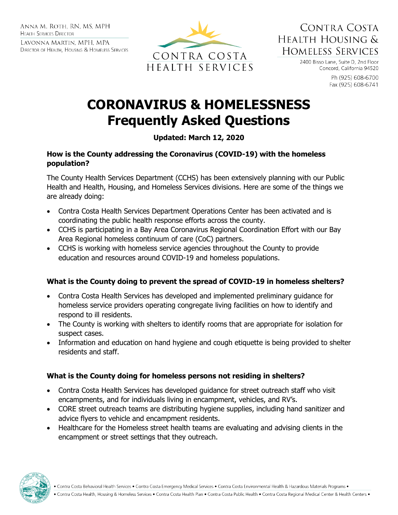ANNA M. ROTH. RN. MS. MPH **HEALTH SERVICES DIRECTOR** 

LAVONNA MARTIN, MPH, MPA DIRECTOR OF HEALTH, HOUSING & HOMELESS SERVICES



CONTRA COSTA HEALTH HOUSING & **HOMELESS SERVICES** 

> 2400 Bisso Lane, Suite D, 2nd Floor Concord, California 94520

> > Ph (925) 608-6700 Fax (925) 608-6741

# **CORONAVIRUS & HOMELESSNESS Frequently Asked Questions**

# **Updated: March 12, 2020**

#### **How is the County addressing the Coronavirus (COVID-19) with the homeless population?**

The County Health Services Department (CCHS) has been extensively planning with our Public Health and Health, Housing, and Homeless Services divisions. Here are some of the things we are already doing:

- Contra Costa Health Services Department Operations Center has been activated and is coordinating the public health response efforts across the county.
- CCHS is participating in a Bay Area Coronavirus Regional Coordination Effort with our Bay Area Regional homeless continuum of care (CoC) partners.
- CCHS is working with homeless service agencies throughout the County to provide education and resources around COVID-19 and homeless populations.

#### **What is the County doing to prevent the spread of COVID-19 in homeless shelters?**

- Contra Costa Health Services has developed and implemented preliminary guidance for homeless service providers operating congregate living facilities on how to identify and respond to ill residents.
- The County is working with shelters to identify rooms that are appropriate for isolation for suspect cases.
- Information and education on hand hygiene and cough etiquette is being provided to shelter residents and staff.

#### **What is the County doing for homeless persons not residing in shelters?**

- Contra Costa Health Services has developed guidance for street outreach staff who visit encampments, and for individuals living in encampment, vehicles, and RV's.
- CORE street outreach teams are distributing hygiene supplies, including hand sanitizer and advice flyers to vehicle and encampment residents.
- Healthcare for the Homeless street health teams are evaluating and advising clients in the encampment or street settings that they outreach.